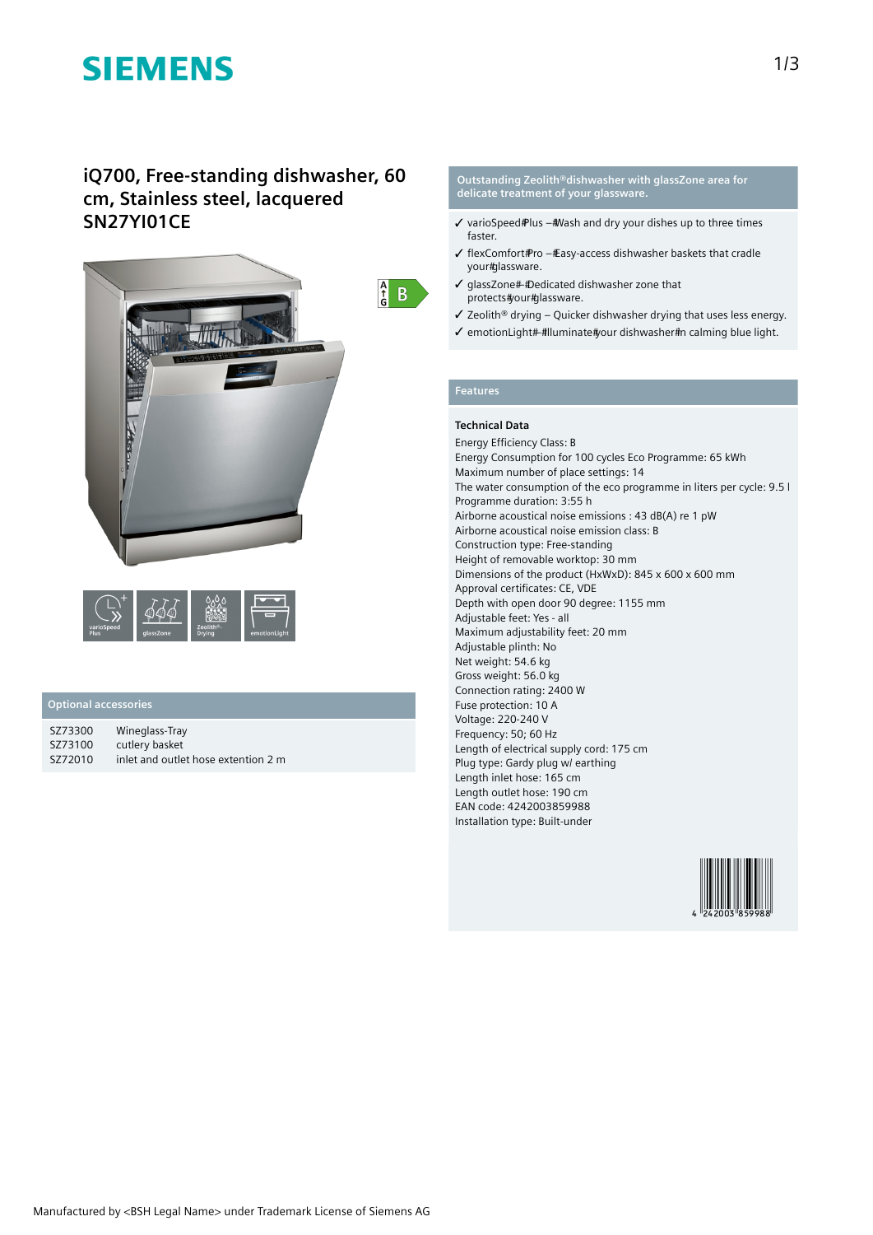# **SIEMENS**

# **iQ700, Free-standing dishwasher, 60 cm, Stainless steel, lacquered SN27YI01CE**



## **Optional accessories**

| SZ73300 | Wineglass-Tray                      |
|---------|-------------------------------------|
| SZ73100 | cutlery basket                      |
| SZ72010 | inlet and outlet hose extention 2 m |

### **Outstanding Zeolith®dishwasher with glassZone area for delicate treatment of your glassware.**

- $\checkmark$  varioSpeed Plus # Wash and dry your dishes up to three times faster.
- ✓ flexComfort Pro Easy-access dishwasher baskets that cradle your#glassware.
- $\checkmark$  qlassZone##Dedicated dishwasher zone that protects#your#glassware.
- ✓ Zeolith® drying Quicker dishwasher drying that uses less energy.
- √ emotionLight#-#lluminate#your dishwasher#n calming blue light.

### **Features**

 $\begin{array}{cc} A \\ C \\ G \end{array}$  B

## **Technical Data**

Energy Efficiency Class: B Energy Consumption for 100 cycles Eco Programme: 65 kWh Maximum number of place settings: 14 The water consumption of the eco programme in liters per cycle: 9.5 l Programme duration: 3:55 h Airborne acoustical noise emissions : 43 dB(A) re 1 pW Airborne acoustical noise emission class: B Construction type: Free-standing Height of removable worktop: 30 mm Dimensions of the product (HxWxD): 845 x 600 x 600 mm Approval certificates: CE, VDE Depth with open door 90 degree: 1155 mm Adjustable feet: Yes - all Maximum adjustability feet: 20 mm Adjustable plinth: No Net weight: 54.6 kg Gross weight: 56.0 kg Connection rating: 2400 W Fuse protection: 10 A Voltage: 220-240 V Frequency: 50; 60 Hz Length of electrical supply cord: 175 cm Plug type: Gardy plug w/ earthing Length inlet hose: 165 cm Length outlet hose: 190 cm EAN code: 4242003859988 Installation type: Built-under

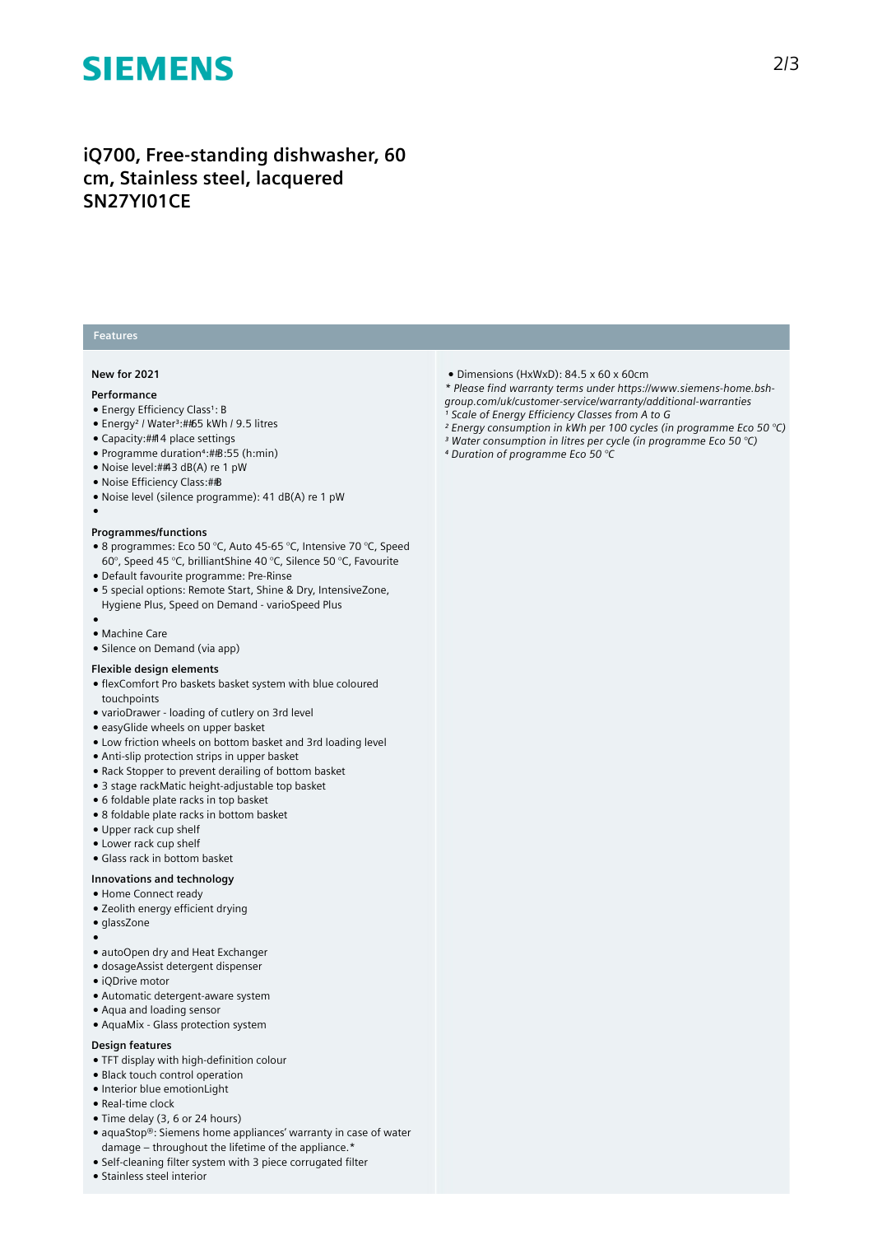# **SIEMENS**

# **iQ700, Free-standing dishwasher, 60 cm, Stainless steel, lacquered SN27YI01CE**

## **Features**

#### **New for 2021**

#### **Performance**

●

- Energy Efficiency Class<sup>1</sup>: B
- Energy<sup>2</sup> / Water<sup>3</sup>:##65 kWh / 9.5 litres
- Capacity: 14 place settings
- Programme duration⁴: 3:55 (h:min)
- Noise level:##3 dB(A) re 1 pW
- Noise Efficiency Class: #B
- Noise level (silence programme): 41 dB(A) re 1 pW

#### **Programmes/functions**

- 8 programmes: Eco 50 °C, Auto 45-65 °C, Intensive 70 °C, Speed 60°, Speed 45 °C, brilliantShine 40 °C, Silence 50 °C, Favourite
- Default favourite programme: Pre-Rinse
- 5 special options: Remote Start, Shine & Dry, IntensiveZone, Hygiene Plus, Speed on Demand - varioSpeed Plus
- ● Machine Care
- Silence on Demand (via app)

### **Flexible design elements**

- flexComfort Pro baskets basket system with blue coloured touchpoints
- varioDrawer loading of cutlery on 3rd level
- easyGlide wheels on upper basket
- Low friction wheels on bottom basket and 3rd loading level
- Anti-slip protection strips in upper basket
- Rack Stopper to prevent derailing of bottom basket
- 3 stage rackMatic height-adjustable top basket
- 6 foldable plate racks in top basket
- 8 foldable plate racks in bottom basket
- Upper rack cup shelf
- Lower rack cup shelf
- Glass rack in bottom basket

# **Innovations and technology**

- Home Connect ready
- Zeolith energy efficient drying
- glassZone
- ●
- autoOpen dry and Heat Exchanger
- dosageAssist detergent dispenser
- iQDrive motor
- Automatic detergent-aware system
- Aqua and loading sensor
- AquaMix Glass protection system

#### **Design features**

- TFT display with high-definition colour
- Black touch control operation
- Interior blue emotionLight
- Real-time clock
- Time delay (3, 6 or 24 hours)
- aquaStop®: Siemens home appliances' warranty in case of water damage – throughout the lifetime of the appliance.\*
- Self-cleaning filter system with 3 piece corrugated filter
- Stainless steel interior
- Dimensions (HxWxD): 84.5 x 60 x 60cm
- *\* Please find warranty terms under https://www.siemens-home.bsh-*
- *group.com/uk/customer-service/warranty/additional-warranties*
- *¹ Scale of Energy Efficiency Classes from A to G*
- *² Energy consumption in kWh per 100 cycles (in programme Eco 50 °C) ³ Water consumption in litres per cycle (in programme Eco 50 °C)*
- *⁴ Duration of programme Eco 50 °C*